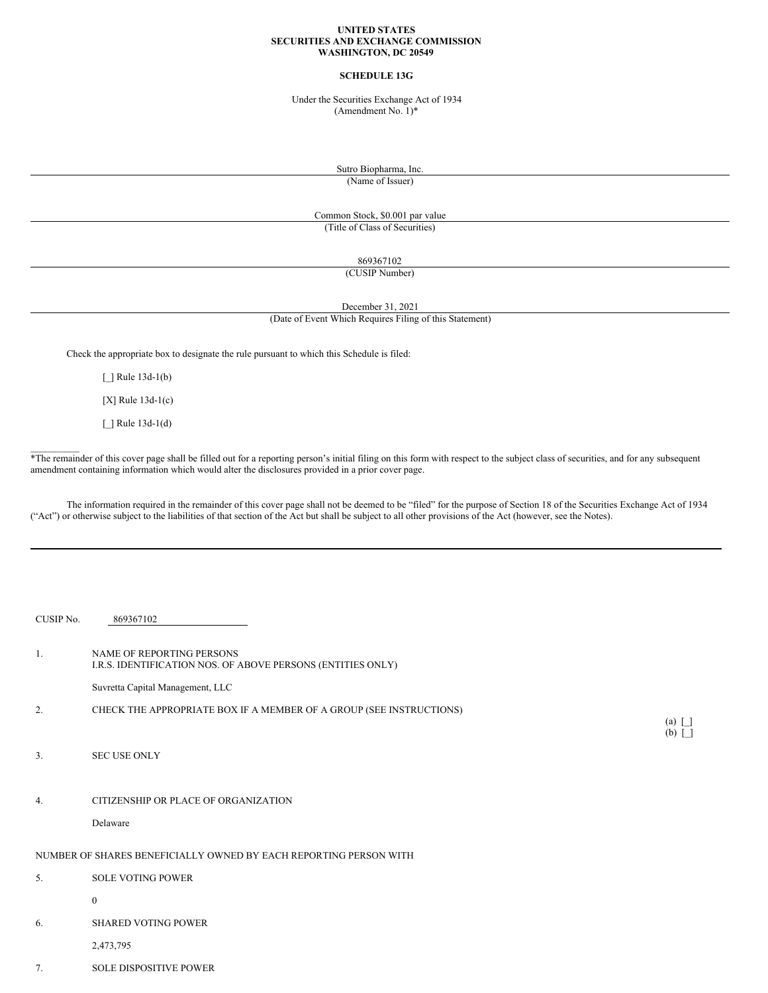### **UNITED STATES SECURITIES AND EXCHANGE COMMISSION WASHINGTON, DC 20549**

# **SCHEDULE 13G**

Under the Securities Exchange Act of 1934 (Amendment No. 1)\*

> Sutro Biopharma, Inc. (Name of Issuer)

Common Stock, \$0.001 par value (Title of Class of Securities)

869367102

(CUSIP Number)

December 31, 2021

(Date of Event Which Requires Filing of this Statement)

Check the appropriate box to designate the rule pursuant to which this Schedule is filed:

 $\lceil$   $\rceil$  Rule 13d-1(b)

[X] Rule 13d-1(c)

[\_] Rule 13d-1(d)

 $\mathcal{L}_\text{max}$ 

\*The remainder of this cover page shall be filled out for a reporting person's initial filing on this form with respect to the subject class of securities, and for any subsequent amendment containing information which would alter the disclosures provided in a prior cover page.

The information required in the remainder of this cover page shall not be deemed to be "filed" for the purpose of Section 18 of the Securities Exchange Act of 1934 ("Act") or otherwise subject to the liabilities of that section of the Act but shall be subject to all other provisions of the Act (however, see the Notes).

| CUSIP No. | 869367102                                                                                       |                              |
|-----------|-------------------------------------------------------------------------------------------------|------------------------------|
| 1.        | <b>NAME OF REPORTING PERSONS</b><br>I.R.S. IDENTIFICATION NOS. OF ABOVE PERSONS (ENTITIES ONLY) |                              |
|           | Suvretta Capital Management, LLC                                                                |                              |
| 2.        | CHECK THE APPROPRIATE BOX IF A MEMBER OF A GROUP (SEE INSTRUCTIONS)                             |                              |
|           |                                                                                                 | $(a)$ $\Box$<br>$(b)$ $\Box$ |
| 3.        | <b>SEC USE ONLY</b>                                                                             |                              |
|           |                                                                                                 |                              |
| 4.        | CITIZENSHIP OR PLACE OF ORGANIZATION                                                            |                              |
|           | Delaware                                                                                        |                              |
|           | NUMBER OF SHARES BENEFICIALLY OWNED BY EACH REPORTING PERSON WITH                               |                              |
| 5.        | <b>SOLE VOTING POWER</b>                                                                        |                              |
|           | $\mathbf{0}$                                                                                    |                              |
| 6.        | <b>SHARED VOTING POWER</b>                                                                      |                              |
|           | 2,473,795                                                                                       |                              |
| 7.        | <b>SOLE DISPOSITIVE POWER</b>                                                                   |                              |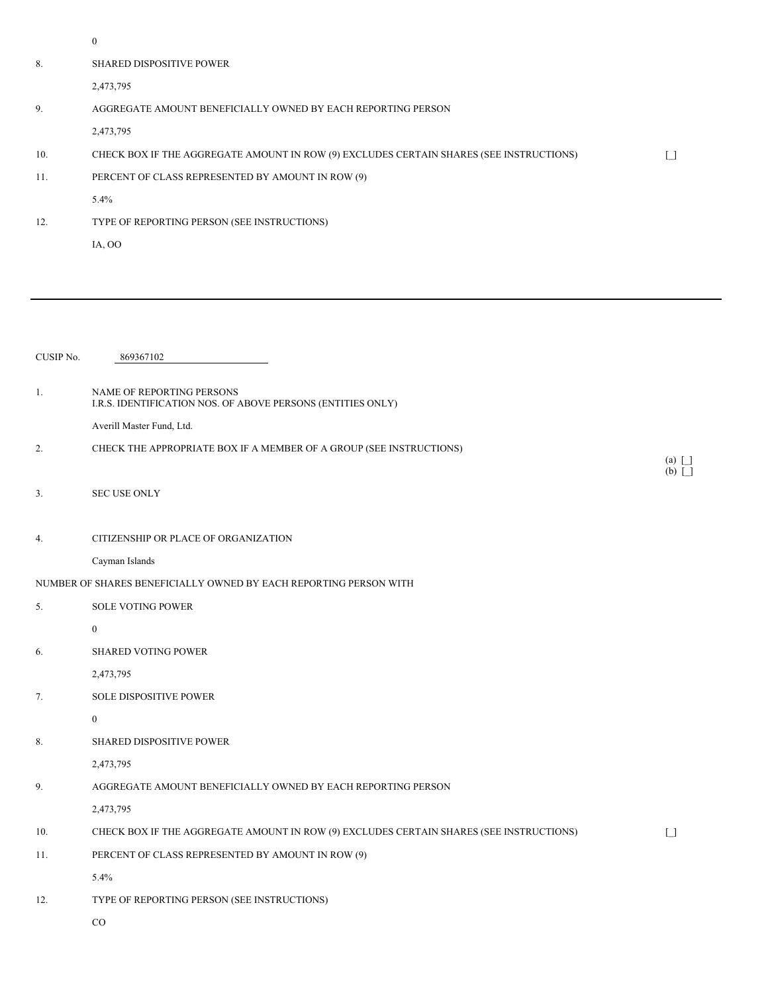|           | $\boldsymbol{0}$                                                                         |                          |
|-----------|------------------------------------------------------------------------------------------|--------------------------|
| 8.        | <b>SHARED DISPOSITIVE POWER</b>                                                          |                          |
|           | 2,473,795                                                                                |                          |
| 9.        | AGGREGATE AMOUNT BENEFICIALLY OWNED BY EACH REPORTING PERSON                             |                          |
|           | 2,473,795                                                                                |                          |
| 10.       | CHECK BOX IF THE AGGREGATE AMOUNT IN ROW (9) EXCLUDES CERTAIN SHARES (SEE INSTRUCTIONS)  | $\Box$                   |
| 11.       | PERCENT OF CLASS REPRESENTED BY AMOUNT IN ROW (9)                                        |                          |
|           | 5.4%                                                                                     |                          |
| 12.       | TYPE OF REPORTING PERSON (SEE INSTRUCTIONS)                                              |                          |
|           | IA, OO                                                                                   |                          |
|           |                                                                                          |                          |
|           |                                                                                          |                          |
|           |                                                                                          |                          |
|           |                                                                                          |                          |
| CUSIP No. | 869367102                                                                                |                          |
|           |                                                                                          |                          |
| 1.        | NAME OF REPORTING PERSONS<br>I.R.S. IDENTIFICATION NOS. OF ABOVE PERSONS (ENTITIES ONLY) |                          |
|           | Averill Master Fund, Ltd.                                                                |                          |
| 2.        | CHECK THE APPROPRIATE BOX IF A MEMBER OF A GROUP (SEE INSTRUCTIONS)                      |                          |
|           |                                                                                          | $(a)$ $\Box$<br>$(b)$ [] |
| 3.        | <b>SEC USE ONLY</b>                                                                      |                          |
|           |                                                                                          |                          |
| 4.        | CITIZENSHIP OR PLACE OF ORGANIZATION                                                     |                          |
|           | Cayman Islands                                                                           |                          |
|           | NUMBER OF SHARES BENEFICIALLY OWNED BY EACH REPORTING PERSON WITH                        |                          |
| 5.        | SOLE VOTING POWER                                                                        |                          |
|           | $\boldsymbol{0}$                                                                         |                          |
| 6.        | SHARED VOTING POWER                                                                      |                          |
|           | 2,473,795                                                                                |                          |
| 7.        | SOLE DISPOSITIVE POWER                                                                   |                          |
|           | $\boldsymbol{0}$                                                                         |                          |
| 8.        | SHARED DISPOSITIVE POWER                                                                 |                          |
|           | 2,473,795                                                                                |                          |
| 9.        | AGGREGATE AMOUNT BENEFICIALLY OWNED BY EACH REPORTING PERSON                             |                          |
|           | 2,473,795                                                                                |                          |
| 10.       | CHECK BOX IF THE AGGREGATE AMOUNT IN ROW (9) EXCLUDES CERTAIN SHARES (SEE INSTRUCTIONS)  | $\lceil \rceil$          |
| 11.       | PERCENT OF CLASS REPRESENTED BY AMOUNT IN ROW (9)                                        |                          |
|           | 5.4%                                                                                     |                          |
|           |                                                                                          |                          |

12. TYPE OF REPORTING PERSON (SEE INSTRUCTIONS)

CO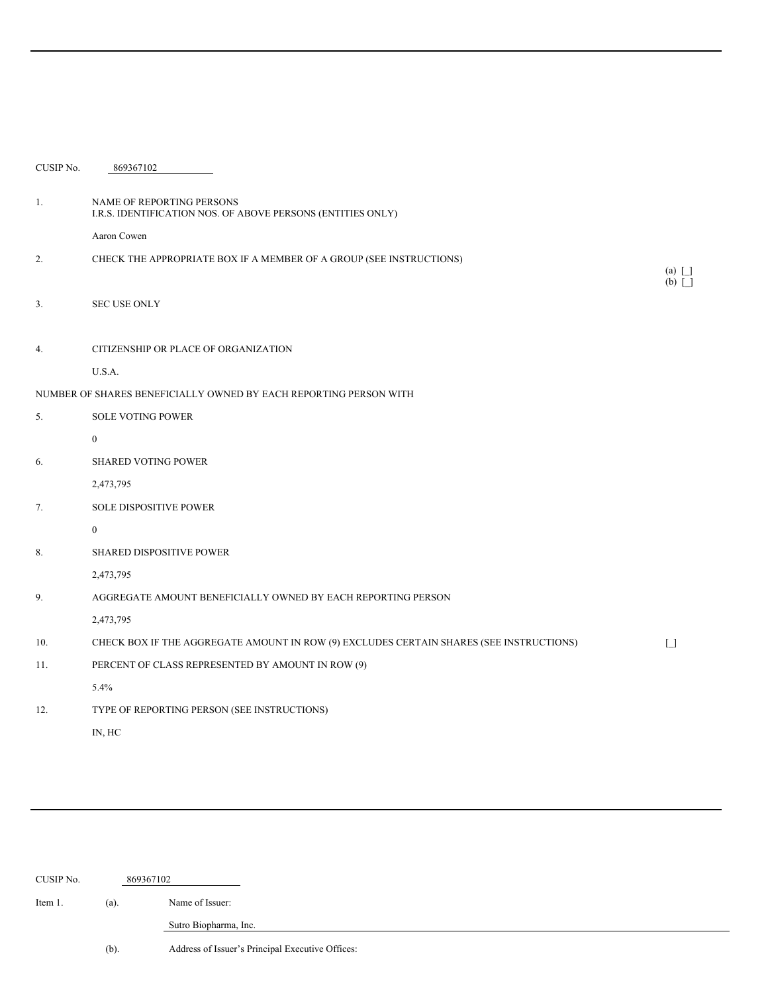| CUSIP No. | 869367102                                                                                |                                             |
|-----------|------------------------------------------------------------------------------------------|---------------------------------------------|
| 1.        | NAME OF REPORTING PERSONS<br>I.R.S. IDENTIFICATION NOS. OF ABOVE PERSONS (ENTITIES ONLY) |                                             |
|           | Aaron Cowen                                                                              |                                             |
| 2.        | CHECK THE APPROPRIATE BOX IF A MEMBER OF A GROUP (SEE INSTRUCTIONS)                      | $(a)$ $\Box$<br>$(b)$ $\boxed{\phantom{b}}$ |
| 3.        | <b>SEC USE ONLY</b>                                                                      |                                             |
| 4.        | CITIZENSHIP OR PLACE OF ORGANIZATION                                                     |                                             |
|           | U.S.A.                                                                                   |                                             |
|           | NUMBER OF SHARES BENEFICIALLY OWNED BY EACH REPORTING PERSON WITH                        |                                             |
| 5.        | <b>SOLE VOTING POWER</b>                                                                 |                                             |
|           | $\overline{0}$                                                                           |                                             |
| 6.        | <b>SHARED VOTING POWER</b>                                                               |                                             |
|           | 2,473,795                                                                                |                                             |
| 7.        | <b>SOLE DISPOSITIVE POWER</b>                                                            |                                             |
|           | $\overline{0}$                                                                           |                                             |
| 8.        | <b>SHARED DISPOSITIVE POWER</b>                                                          |                                             |
|           | 2,473,795                                                                                |                                             |
| 9.        | AGGREGATE AMOUNT BENEFICIALLY OWNED BY EACH REPORTING PERSON                             |                                             |
|           | 2,473,795                                                                                |                                             |
| 10.       | CHECK BOX IF THE AGGREGATE AMOUNT IN ROW (9) EXCLUDES CERTAIN SHARES (SEE INSTRUCTIONS)  | $\lceil \rceil$                             |
| 11.       | PERCENT OF CLASS REPRESENTED BY AMOUNT IN ROW (9)                                        |                                             |
|           | 5.4%                                                                                     |                                             |
| 12.       | TYPE OF REPORTING PERSON (SEE INSTRUCTIONS)                                              |                                             |
|           | IN, HC                                                                                   |                                             |

| CUSIP No. |         | 869367102                                        |
|-----------|---------|--------------------------------------------------|
| Item 1.   | (a).    | Name of Issuer:                                  |
|           |         | Sutro Biopharma, Inc.                            |
|           | $(b)$ . | Address of Issuer's Principal Executive Offices: |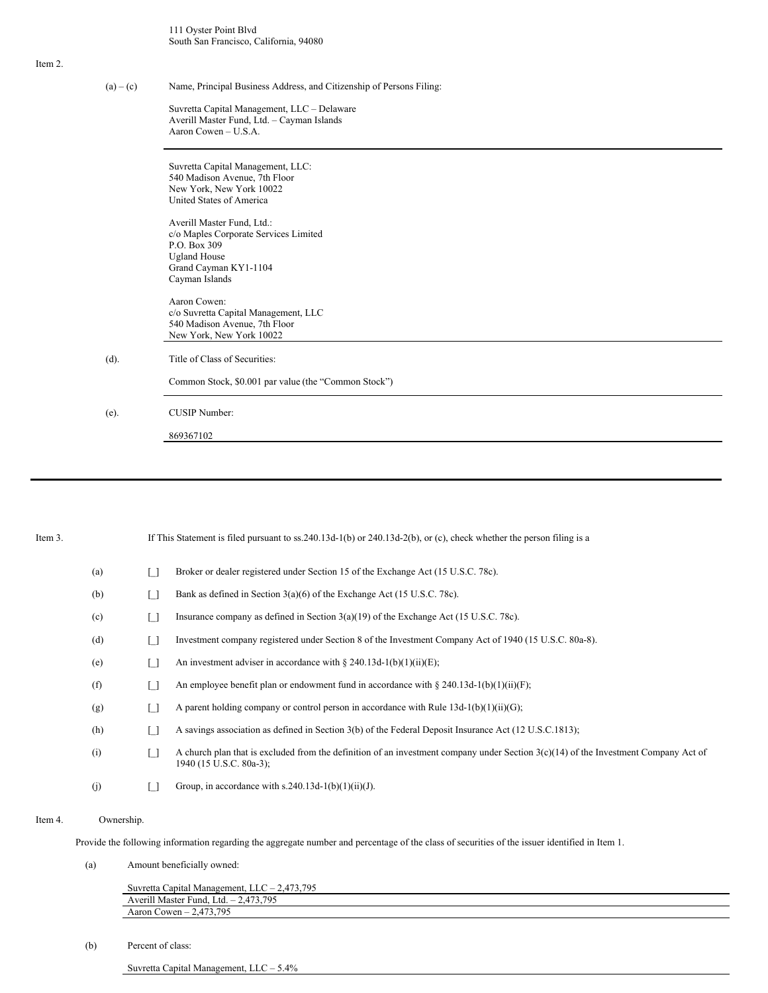111 Oyster Point Blvd South San Francisco, California, 94080

### Item 2.

(a) – (c) Name, Principal Business Address, and Citizenship of Persons Filing:

Suvretta Capital Management, LLC – Delaware Averill Master Fund, Ltd. – Cayman Islands Aaron Cowen – U.S.A.

Suvretta Capital Management, LLC: 540 Madison Avenue, 7th Floor New York, New York 10022 United States of America Averill Master Fund, Ltd.: c/o Maples Corporate Services Limited P.O. Box 309 Ugland House Grand Cayman KY1-1104 Cayman Islands Aaron Cowen: c/o Suvretta Capital Management, LLC 540 Madison Avenue, 7th Floor New York, New York 10022 (d). Title of Class of Securities: Common Stock, \$0.001 par value (the "Common Stock") (e). CUSIP Number: 869367102

| Item 3. |            | If This Statement is filed pursuant to ss. 240.13d-1(b) or 240.13d-2(b), or (c), check whether the person filing is a                                            |  |  |  |  |
|---------|------------|------------------------------------------------------------------------------------------------------------------------------------------------------------------|--|--|--|--|
|         | (a)        | Broker or dealer registered under Section 15 of the Exchange Act (15 U.S.C. 78c).                                                                                |  |  |  |  |
|         | (b)        | Bank as defined in Section $3(a)(6)$ of the Exchange Act (15 U.S.C. 78c).                                                                                        |  |  |  |  |
|         | (c)        | Insurance company as defined in Section 3(a)(19) of the Exchange Act (15 U.S.C. 78c).                                                                            |  |  |  |  |
|         | (d)        | Investment company registered under Section 8 of the Investment Company Act of 1940 (15 U.S.C. 80a-8).                                                           |  |  |  |  |
|         | (e)        | An investment adviser in accordance with $\S 240.13d-1(b)(1)(ii)(E)$ ;                                                                                           |  |  |  |  |
|         | (f)        | An employee benefit plan or endowment fund in accordance with § 240.13d-1(b)(1)(ii)(F);                                                                          |  |  |  |  |
|         | (g)        | A parent holding company or control person in accordance with Rule $13d-1(b)(1)(ii)(G)$ ;                                                                        |  |  |  |  |
|         | (h)        | A savings association as defined in Section 3(b) of the Federal Deposit Insurance Act (12 U.S.C.1813);                                                           |  |  |  |  |
|         | (i)        | A church plan that is excluded from the definition of an investment company under Section $3(c)(14)$ of the Investment Company Act of<br>1940 (15 U.S.C. 80a-3); |  |  |  |  |
|         | (j)        | Group, in accordance with s.240.13d-1(b)(1)(ii)(J).                                                                                                              |  |  |  |  |
| Item 4. | Ownership. |                                                                                                                                                                  |  |  |  |  |
|         |            | Provide the following information regarding the aggregate number and percentage of the class of securities of the issuer identified in Item 1.                   |  |  |  |  |

(a) Amount beneficially owned:

| 2,473,795<br>Suvretta Capital Management, $LLC - 2$ |  |
|-----------------------------------------------------|--|
| 2.473.795<br>l Master Fund, Ltd. – 2<br>Averill '   |  |
| $-2.473.795$<br>Aaron Cowen $-$                     |  |

(b) Percent of class:

Suvretta Capital Management, LLC – 5.4%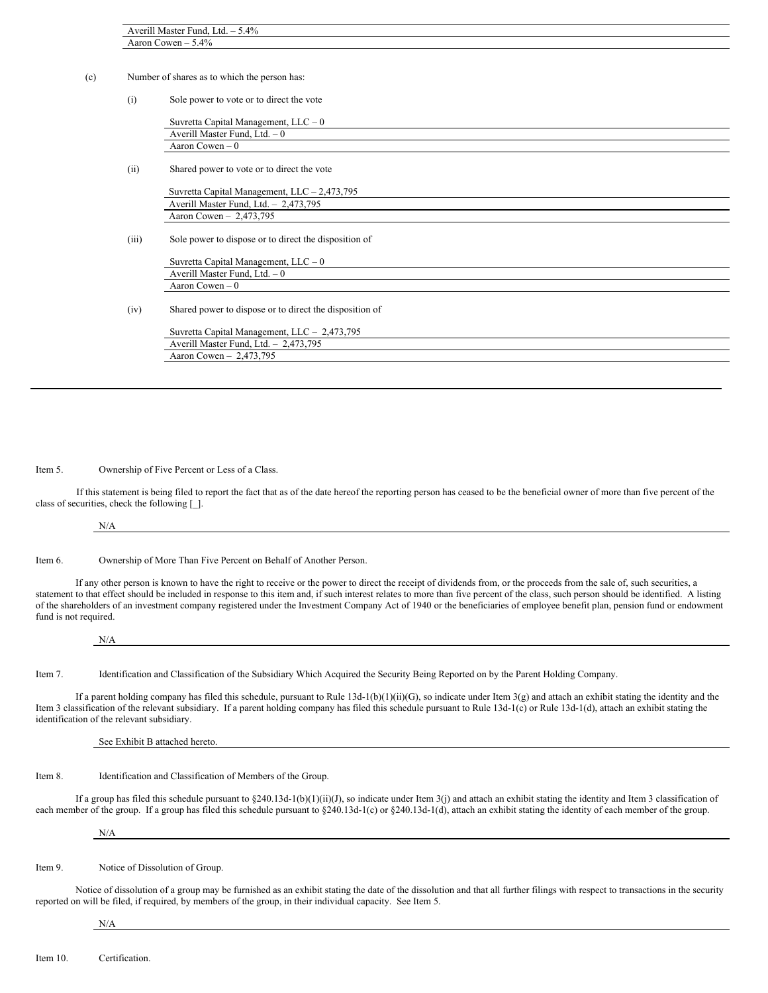|       | Aaron Cowen $-5.4\%$                                    |  |
|-------|---------------------------------------------------------|--|
|       | Number of shares as to which the person has:            |  |
| (i)   | Sole power to vote or to direct the vote                |  |
|       | Suvretta Capital Management, $LLC - 0$                  |  |
|       | Averill Master Fund, Ltd. - 0                           |  |
|       | Aaron Cowen $-0$                                        |  |
| (ii)  | Shared power to vote or to direct the vote              |  |
|       | Suvretta Capital Management, $LLC - 2,473,795$          |  |
|       | Averill Master Fund, Ltd. - 2,473,795                   |  |
|       | Aaron Cowen - 2,473,795                                 |  |
| (iii) | Sole power to dispose or to direct the disposition of   |  |
|       | Suvretta Capital Management, $LLC - 0$                  |  |
|       | Averill Master Fund, Ltd. - 0                           |  |
|       | Aaron Cowen $-0$                                        |  |
| (iv)  | Shared power to dispose or to direct the disposition of |  |
|       | Suvretta Capital Management, LLC - 2,473,795            |  |
|       | Averill Master Fund, Ltd. - 2,473,795                   |  |

Item 5. Ownership of Five Percent or Less of a Class.

If this statement is being filed to report the fact that as of the date hereof the reporting person has ceased to be the beneficial owner of more than five percent of the class of securities, check the following [\_].

N/A

Item 6. Ownership of More Than Five Percent on Behalf of Another Person.

If any other person is known to have the right to receive or the power to direct the receipt of dividends from, or the proceeds from the sale of, such securities, a statement to that effect should be included in response to this item and, if such interest relates to more than five percent of the class, such person should be identified. A listing of the shareholders of an investment company registered under the Investment Company Act of 1940 or the beneficiaries of employee benefit plan, pension fund or endowment fund is not required.

| N/A |  |  |
|-----|--|--|
|     |  |  |

Item 7. Identification and Classification of the Subsidiary Which Acquired the Security Being Reported on by the Parent Holding Company.

If a parent holding company has filed this schedule, pursuant to Rule  $13d-1(b)(1)(ii)(G)$ , so indicate under Item 3(g) and attach an exhibit stating the identity and the Item 3 classification of the relevant subsidiary. If a parent holding company has filed this schedule pursuant to Rule 13d-1(c) or Rule 13d-1(d), attach an exhibit stating the identification of the relevant subsidiary.

See Exhibit B attached hereto.

Item 8. Identification and Classification of Members of the Group.

If a group has filed this schedule pursuant to §240.13d-1(b)(1)(ii)(J), so indicate under Item 3(j) and attach an exhibit stating the identity and Item 3 classification of each member of the group. If a group has filed this schedule pursuant to §240.13d-1(c) or §240.13d-1(d), attach an exhibit stating the identity of each member of the group.

N/A

 $\mathbf{r}$ 

Item 9. Notice of Dissolution of Group.

Notice of dissolution of a group may be furnished as an exhibit stating the date of the dissolution and that all further filings with respect to transactions in the security reported on will be filed, if required, by members of the group, in their individual capacity. See Item 5.

N/A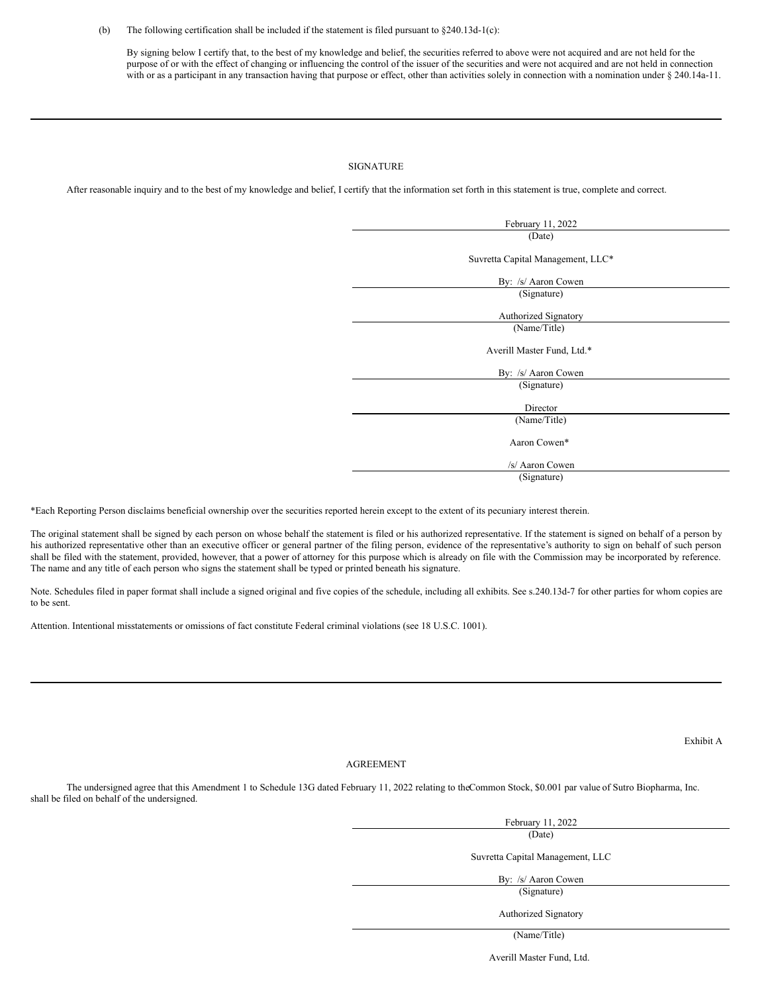#### (b) The following certification shall be included if the statement is filed pursuant to  $\S 240.13d-1(c)$ :

By signing below I certify that, to the best of my knowledge and belief, the securities referred to above were not acquired and are not held for the purpose of or with the effect of changing or influencing the control of the issuer of the securities and were not acquired and are not held in connection with or as a participant in any transaction having that purpose or effect, other than activities solely in connection with a nomination under § 240.14a-11.

### SIGNATURE

After reasonable inquiry and to the best of my knowledge and belief, I certify that the information set forth in this statement is true, complete and correct.

| February 11, 2022                 |
|-----------------------------------|
| (Date)                            |
| Suvretta Capital Management, LLC* |
| By: /s/ Aaron Cowen               |
| (Signature)                       |
| Authorized Signatory              |
| (Name/Title)                      |
| Averill Master Fund, Ltd.*        |
| By: /s/ Aaron Cowen               |
| (Signature)                       |
| Director                          |
| (Name/Title)                      |
| Aaron Cowen*                      |
| /s/ Aaron Cowen                   |
| (Signature)                       |
|                                   |

\*Each Reporting Person disclaims beneficial ownership over the securities reported herein except to the extent of its pecuniary interest therein.

The original statement shall be signed by each person on whose behalf the statement is filed or his authorized representative. If the statement is signed on behalf of a person by his authorized representative other than an executive officer or general partner of the filing person, evidence of the representative's authority to sign on behalf of such person shall be filed with the statement, provided, however, that a power of attorney for this purpose which is already on file with the Commission may be incorporated by reference. The name and any title of each person who signs the statement shall be typed or printed beneath his signature.

Note. Schedules filed in paper format shall include a signed original and five copies of the schedule, including all exhibits. See s.240.13d-7 for other parties for whom copies are to be sent.

Attention. Intentional misstatements or omissions of fact constitute Federal criminal violations (see 18 U.S.C. 1001).

Exhibit A

## AGREEMENT

The undersigned agree that this Amendment 1 to Schedule 13G dated February 11, 2022 relating to theCommon Stock, \$0.001 par value of Sutro Biopharma, Inc. shall be filed on behalf of the undersigned.

> February 11, 2022 (Date)

Suvretta Capital Management, LLC

By: /s/ Aaron Cowen (Signature)

Authorized Signatory

(Name/Title)

Averill Master Fund, Ltd.